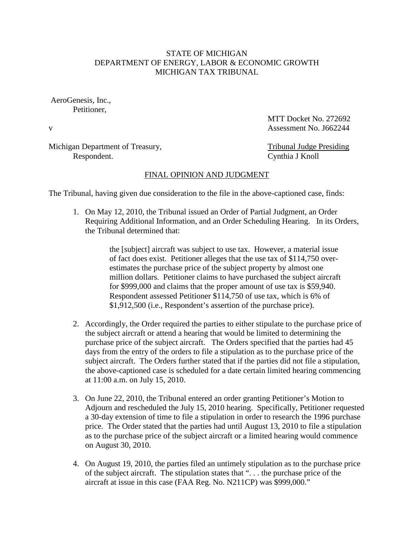## STATE OF MICHIGAN DEPARTMENT OF ENERGY, LABOR & ECONOMIC GROWTH MICHIGAN TAX TRIBUNAL

AeroGenesis, Inc., Petitioner,

MTT Docket No. 272692 v Assessment No. 1662244

Michigan Department of Treasury, Tribunal Judge Presiding Respondent. Cynthia J Knoll

## FINAL OPINION AND JUDGMENT

The Tribunal, having given due consideration to the file in the above-captioned case, finds:

1. On May 12, 2010, the Tribunal issued an Order of Partial Judgment, an Order Requiring Additional Information, and an Order Scheduling Hearing. In its Orders, the Tribunal determined that:

> the [subject] aircraft was subject to use tax. However, a material issue of fact does exist. Petitioner alleges that the use tax of \$114,750 overestimates the purchase price of the subject property by almost one million dollars. Petitioner claims to have purchased the subject aircraft for \$999,000 and claims that the proper amount of use tax is \$59,940. Respondent assessed Petitioner \$114,750 of use tax, which is 6% of \$1,912,500 (i.e., Respondent's assertion of the purchase price).

- 2. Accordingly, the Order required the parties to either stipulate to the purchase price of the subject aircraft or attend a hearing that would be limited to determining the purchase price of the subject aircraft. The Orders specified that the parties had 45 days from the entry of the orders to file a stipulation as to the purchase price of the subject aircraft. The Orders further stated that if the parties did not file a stipulation, the above-captioned case is scheduled for a date certain limited hearing commencing at 11:00 a.m. on July 15, 2010.
- 3. On June 22, 2010, the Tribunal entered an order granting Petitioner's Motion to Adjourn and rescheduled the July 15, 2010 hearing. Specifically, Petitioner requested a 30-day extension of time to file a stipulation in order to research the 1996 purchase price. The Order stated that the parties had until August 13, 2010 to file a stipulation as to the purchase price of the subject aircraft or a limited hearing would commence on August 30, 2010.
- 4. On August 19, 2010, the parties filed an untimely stipulation as to the purchase price of the subject aircraft. The stipulation states that ". . . the purchase price of the aircraft at issue in this case (FAA Reg. No. N211CP) was \$999,000."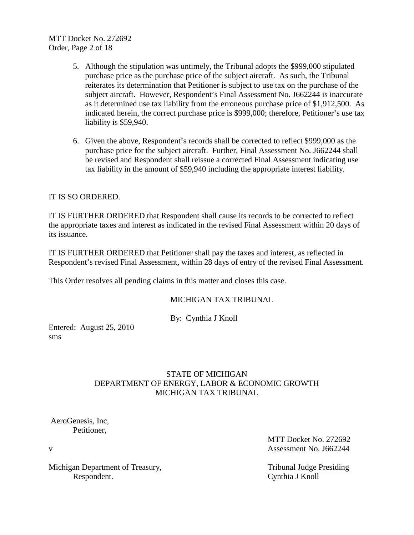MTT Docket No. 272692 Order, Page 2 of 18

- 5. Although the stipulation was untimely, the Tribunal adopts the \$999,000 stipulated purchase price as the purchase price of the subject aircraft. As such, the Tribunal reiterates its determination that Petitioner is subject to use tax on the purchase of the subject aircraft. However, Respondent's Final Assessment No. J662244 is inaccurate as it determined use tax liability from the erroneous purchase price of \$1,912,500. As indicated herein, the correct purchase price is \$999,000; therefore, Petitioner's use tax liability is \$59,940.
- 6. Given the above, Respondent's records shall be corrected to reflect \$999,000 as the purchase price for the subject aircraft. Further, Final Assessment No. J662244 shall be revised and Respondent shall reissue a corrected Final Assessment indicating use tax liability in the amount of \$59,940 including the appropriate interest liability.

## IT IS SO ORDERED.

IT IS FURTHER ORDERED that Respondent shall cause its records to be corrected to reflect the appropriate taxes and interest as indicated in the revised Final Assessment within 20 days of its issuance.

IT IS FURTHER ORDERED that Petitioner shall pay the taxes and interest, as reflected in Respondent's revised Final Assessment, within 28 days of entry of the revised Final Assessment.

This Order resolves all pending claims in this matter and closes this case.

### MICHIGAN TAX TRIBUNAL

By: Cynthia J Knoll

Entered: August 25, 2010 sms

## STATE OF MICHIGAN DEPARTMENT OF ENERGY, LABOR & ECONOMIC GROWTH MICHIGAN TAX TRIBUNAL

AeroGenesis, Inc, Petitioner,

Michigan Department of Treasury, Tribunal Judge Presiding Respondent. Cynthia J Knoll

MTT Docket No. 272692 v Assessment No. 1662244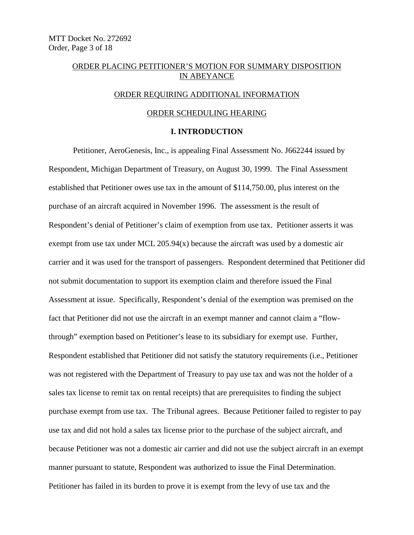## ORDER PLACING PETITIONER'S MOTION FOR SUMMARY DISPOSITION IN ABEYANCE

#### ORDER REQUIRING ADDITIONAL INFORMATION

### ORDER SCHEDULING HEARING

## **I. INTRODUCTION**

Petitioner, AeroGenesis, Inc., is appealing Final Assessment No. J662244 issued by Respondent, Michigan Department of Treasury, on August 30, 1999. The Final Assessment established that Petitioner owes use tax in the amount of \$114,750.00, plus interest on the purchase of an aircraft acquired in November 1996. The assessment is the result of Respondent's denial of Petitioner's claim of exemption from use tax. Petitioner asserts it was exempt from use tax under MCL 205.94(x) because the aircraft was used by a domestic air carrier and it was used for the transport of passengers. Respondent determined that Petitioner did not submit documentation to support its exemption claim and therefore issued the Final Assessment at issue. Specifically, Respondent's denial of the exemption was premised on the fact that Petitioner did not use the aircraft in an exempt manner and cannot claim a "flowthrough" exemption based on Petitioner's lease to its subsidiary for exempt use. Further, Respondent established that Petitioner did not satisfy the statutory requirements (i.e., Petitioner was not registered with the Department of Treasury to pay use tax and was not the holder of a sales tax license to remit tax on rental receipts) that are prerequisites to finding the subject purchase exempt from use tax. The Tribunal agrees. Because Petitioner failed to register to pay use tax and did not hold a sales tax license prior to the purchase of the subject aircraft, and because Petitioner was not a domestic air carrier and did not use the subject aircraft in an exempt manner pursuant to statute, Respondent was authorized to issue the Final Determination. Petitioner has failed in its burden to prove it is exempt from the levy of use tax and the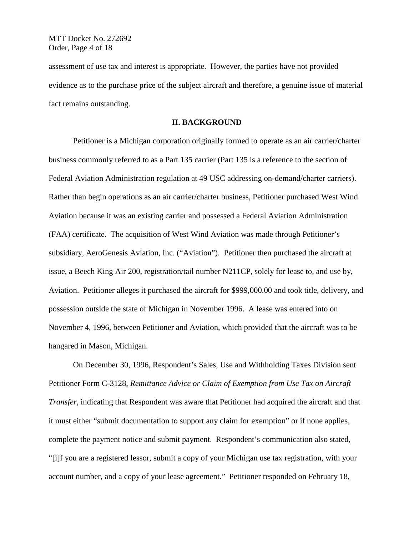MTT Docket No. 272692 Order, Page 4 of 18

assessment of use tax and interest is appropriate. However, the parties have not provided evidence as to the purchase price of the subject aircraft and therefore, a genuine issue of material fact remains outstanding.

#### **II. BACKGROUND**

Petitioner is a Michigan corporation originally formed to operate as an air carrier/charter business commonly referred to as a Part 135 carrier (Part 135 is a reference to the section of Federal Aviation Administration regulation at 49 USC addressing on-demand/charter carriers). Rather than begin operations as an air carrier/charter business, Petitioner purchased West Wind Aviation because it was an existing carrier and possessed a Federal Aviation Administration (FAA) certificate. The acquisition of West Wind Aviation was made through Petitioner's subsidiary, AeroGenesis Aviation, Inc. ("Aviation"). Petitioner then purchased the aircraft at issue, a Beech King Air 200, registration/tail number N211CP, solely for lease to, and use by, Aviation. Petitioner alleges it purchased the aircraft for \$999,000.00 and took title, delivery, and possession outside the state of Michigan in November 1996. A lease was entered into on November 4, 1996, between Petitioner and Aviation, which provided that the aircraft was to be hangared in Mason, Michigan.

On December 30, 1996, Respondent's Sales, Use and Withholding Taxes Division sent Petitioner Form C-3128, *Remittance Advice or Claim of Exemption from Use Tax on Aircraft Transfer*, indicating that Respondent was aware that Petitioner had acquired the aircraft and that it must either "submit documentation to support any claim for exemption" or if none applies, complete the payment notice and submit payment. Respondent's communication also stated, "[i]f you are a registered lessor, submit a copy of your Michigan use tax registration, with your account number, and a copy of your lease agreement." Petitioner responded on February 18,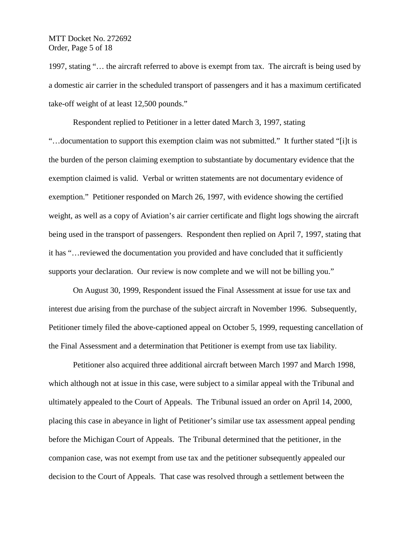MTT Docket No. 272692 Order, Page 5 of 18

1997, stating "… the aircraft referred to above is exempt from tax. The aircraft is being used by a domestic air carrier in the scheduled transport of passengers and it has a maximum certificated take-off weight of at least 12,500 pounds."

Respondent replied to Petitioner in a letter dated March 3, 1997, stating "…documentation to support this exemption claim was not submitted." It further stated "[i]t is the burden of the person claiming exemption to substantiate by documentary evidence that the exemption claimed is valid. Verbal or written statements are not documentary evidence of exemption." Petitioner responded on March 26, 1997, with evidence showing the certified weight, as well as a copy of Aviation's air carrier certificate and flight logs showing the aircraft being used in the transport of passengers. Respondent then replied on April 7, 1997, stating that it has "…reviewed the documentation you provided and have concluded that it sufficiently supports your declaration. Our review is now complete and we will not be billing you."

On August 30, 1999, Respondent issued the Final Assessment at issue for use tax and interest due arising from the purchase of the subject aircraft in November 1996. Subsequently, Petitioner timely filed the above-captioned appeal on October 5, 1999, requesting cancellation of the Final Assessment and a determination that Petitioner is exempt from use tax liability.

Petitioner also acquired three additional aircraft between March 1997 and March 1998, which although not at issue in this case, were subject to a similar appeal with the Tribunal and ultimately appealed to the Court of Appeals. The Tribunal issued an order on April 14, 2000, placing this case in abeyance in light of Petitioner's similar use tax assessment appeal pending before the Michigan Court of Appeals. The Tribunal determined that the petitioner, in the companion case, was not exempt from use tax and the petitioner subsequently appealed our decision to the Court of Appeals. That case was resolved through a settlement between the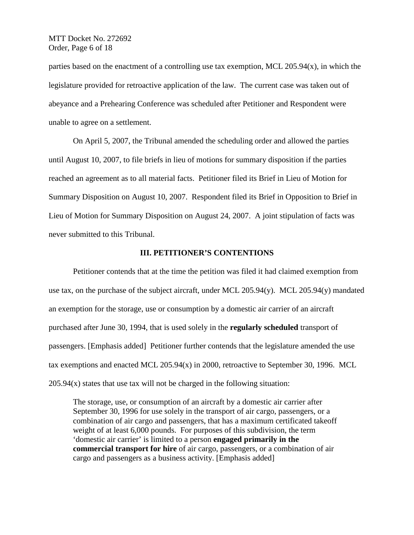MTT Docket No. 272692 Order, Page 6 of 18

parties based on the enactment of a controlling use tax exemption, MCL 205.94(x), in which the legislature provided for retroactive application of the law. The current case was taken out of abeyance and a Prehearing Conference was scheduled after Petitioner and Respondent were unable to agree on a settlement.

On April 5, 2007, the Tribunal amended the scheduling order and allowed the parties until August 10, 2007, to file briefs in lieu of motions for summary disposition if the parties reached an agreement as to all material facts. Petitioner filed its Brief in Lieu of Motion for Summary Disposition on August 10, 2007. Respondent filed its Brief in Opposition to Brief in Lieu of Motion for Summary Disposition on August 24, 2007. A joint stipulation of facts was never submitted to this Tribunal.

### **III. PETITIONER'S CONTENTIONS**

Petitioner contends that at the time the petition was filed it had claimed exemption from use tax, on the purchase of the subject aircraft, under MCL 205.94(y). MCL 205.94(y) mandated an exemption for the storage, use or consumption by a domestic air carrier of an aircraft purchased after June 30, 1994, that is used solely in the **regularly scheduled** transport of passengers. [Emphasis added] Petitioner further contends that the legislature amended the use tax exemptions and enacted MCL 205.94(x) in 2000, retroactive to September 30, 1996. MCL  $205.94(x)$  states that use tax will not be charged in the following situation:

The storage, use, or consumption of an aircraft by a domestic air carrier after September 30, 1996 for use solely in the transport of air cargo, passengers, or a combination of air cargo and passengers, that has a maximum certificated takeoff weight of at least 6,000 pounds. For purposes of this subdivision, the term 'domestic air carrier' is limited to a person **engaged primarily in the commercial transport for hire** of air cargo, passengers, or a combination of air cargo and passengers as a business activity. [Emphasis added]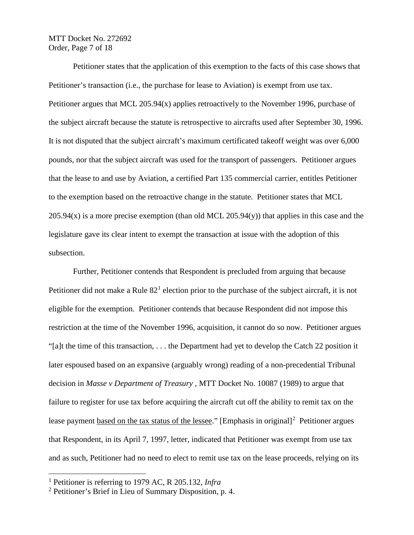MTT Docket No. 272692 Order, Page 7 of 18

Petitioner states that the application of this exemption to the facts of this case shows that Petitioner's transaction (i.e., the purchase for lease to Aviation) is exempt from use tax. Petitioner argues that MCL 205.94(x) applies retroactively to the November 1996, purchase of the subject aircraft because the statute is retrospective to aircrafts used after September 30, 1996. It is not disputed that the subject aircraft's maximum certificated takeoff weight was over 6,000 pounds, nor that the subject aircraft was used for the transport of passengers. Petitioner argues that the lease to and use by Aviation, a certified Part 135 commercial carrier, entitles Petitioner to the exemption based on the retroactive change in the statute. Petitioner states that MCL  $205.94(x)$  is a more precise exemption (than old MCL 205.94(y)) that applies in this case and the legislature gave its clear intent to exempt the transaction at issue with the adoption of this subsection.

Further, Petitioner contends that Respondent is precluded from arguing that because Petitioner did not make a Rule  $82<sup>1</sup>$  $82<sup>1</sup>$  $82<sup>1</sup>$  election prior to the purchase of the subject aircraft, it is not eligible for the exemption. Petitioner contends that because Respondent did not impose this restriction at the time of the November 1996, acquisition, it cannot do so now. Petitioner argues "[a]t the time of this transaction, . . . the Department had yet to develop the Catch 22 position it later espoused based on an expansive (arguably wrong) reading of a non-precedential Tribunal decision in *Masse v Department of Treasury* , MTT Docket No. 10087 (1989) to argue that failure to register for use tax before acquiring the aircraft cut off the ability to remit tax on the lease payment based on the tax status of the lessee." [Emphasis in original]<sup>[2](#page-6-1)</sup> Petitioner argues that Respondent, in its April 7, 1997, letter, indicated that Petitioner was exempt from use tax and as such, Petitioner had no need to elect to remit use tax on the lease proceeds, relying on its

<span id="page-6-0"></span> <sup>1</sup> Petitioner is referring to 1979 AC, R 205.132, *Infra*

<span id="page-6-1"></span><sup>2</sup> Petitioner's Brief in Lieu of Summary Disposition, p. 4.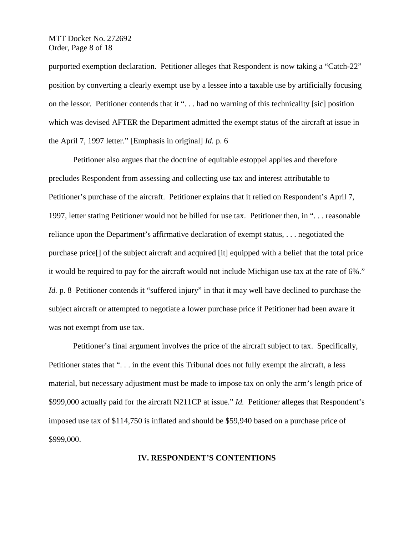MTT Docket No. 272692 Order, Page 8 of 18

purported exemption declaration. Petitioner alleges that Respondent is now taking a "Catch-22" position by converting a clearly exempt use by a lessee into a taxable use by artificially focusing on the lessor. Petitioner contends that it ". . . had no warning of this technicality [sic] position which was devised AFTER the Department admitted the exempt status of the aircraft at issue in the April 7, 1997 letter." [Emphasis in original] *Id.* p. 6

Petitioner also argues that the doctrine of equitable estoppel applies and therefore precludes Respondent from assessing and collecting use tax and interest attributable to Petitioner's purchase of the aircraft. Petitioner explains that it relied on Respondent's April 7, 1997, letter stating Petitioner would not be billed for use tax. Petitioner then, in ". . . reasonable reliance upon the Department's affirmative declaration of exempt status, . . . negotiated the purchase price[] of the subject aircraft and acquired [it] equipped with a belief that the total price it would be required to pay for the aircraft would not include Michigan use tax at the rate of 6%." *Id.* p. 8 Petitioner contends it "suffered injury" in that it may well have declined to purchase the subject aircraft or attempted to negotiate a lower purchase price if Petitioner had been aware it was not exempt from use tax.

Petitioner's final argument involves the price of the aircraft subject to tax. Specifically, Petitioner states that ". . . in the event this Tribunal does not fully exempt the aircraft, a less material, but necessary adjustment must be made to impose tax on only the arm's length price of \$999,000 actually paid for the aircraft N211CP at issue." *Id.* Petitioner alleges that Respondent's imposed use tax of \$114,750 is inflated and should be \$59,940 based on a purchase price of \$999,000.

### **IV. RESPONDENT'S CONTENTIONS**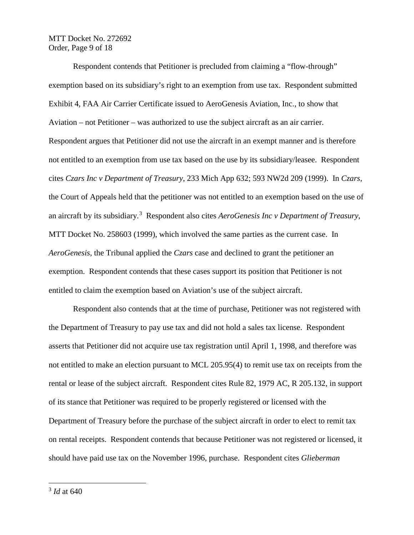MTT Docket No. 272692 Order, Page 9 of 18

Respondent contends that Petitioner is precluded from claiming a "flow-through" exemption based on its subsidiary's right to an exemption from use tax. Respondent submitted Exhibit 4, FAA Air Carrier Certificate issued to AeroGenesis Aviation, Inc., to show that Aviation – not Petitioner – was authorized to use the subject aircraft as an air carrier. Respondent argues that Petitioner did not use the aircraft in an exempt manner and is therefore not entitled to an exemption from use tax based on the use by its subsidiary/leasee. Respondent cites *Czars Inc v Department of Treasury*, 233 Mich App 632; 593 NW2d 209 (1999). In *Czars*, the Court of Appeals held that the petitioner was not entitled to an exemption based on the use of an aircraft by its subsidiary.[3](#page-8-0) Respondent also cites *AeroGenesis Inc v Department of Treasury*, MTT Docket No. 258603 (1999), which involved the same parties as the current case. In *AeroGenesis*, the Tribunal applied the *Czars* case and declined to grant the petitioner an exemption. Respondent contends that these cases support its position that Petitioner is not entitled to claim the exemption based on Aviation's use of the subject aircraft.

Respondent also contends that at the time of purchase, Petitioner was not registered with the Department of Treasury to pay use tax and did not hold a sales tax license. Respondent asserts that Petitioner did not acquire use tax registration until April 1, 1998, and therefore was not entitled to make an election pursuant to MCL 205.95(4) to remit use tax on receipts from the rental or lease of the subject aircraft. Respondent cites Rule 82, 1979 AC, R 205.132, in support of its stance that Petitioner was required to be properly registered or licensed with the Department of Treasury before the purchase of the subject aircraft in order to elect to remit tax on rental receipts. Respondent contends that because Petitioner was not registered or licensed, it should have paid use tax on the November 1996, purchase. Respondent cites *Glieberman* 

<span id="page-8-0"></span> <sup>3</sup> *Id* at 640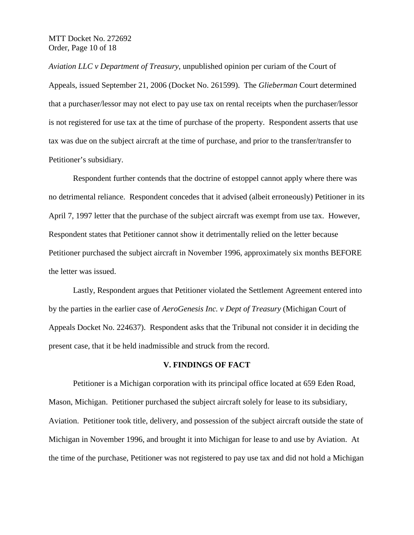MTT Docket No. 272692 Order, Page 10 of 18

*Aviation LLC v Department of Treasury*, unpublished opinion per curiam of the Court of Appeals, issued September 21, 2006 (Docket No. 261599). The *Glieberman* Court determined that a purchaser/lessor may not elect to pay use tax on rental receipts when the purchaser/lessor is not registered for use tax at the time of purchase of the property. Respondent asserts that use tax was due on the subject aircraft at the time of purchase, and prior to the transfer/transfer to Petitioner's subsidiary.

Respondent further contends that the doctrine of estoppel cannot apply where there was no detrimental reliance. Respondent concedes that it advised (albeit erroneously) Petitioner in its April 7, 1997 letter that the purchase of the subject aircraft was exempt from use tax. However, Respondent states that Petitioner cannot show it detrimentally relied on the letter because Petitioner purchased the subject aircraft in November 1996, approximately six months BEFORE the letter was issued.

Lastly, Respondent argues that Petitioner violated the Settlement Agreement entered into by the parties in the earlier case of *AeroGenesis Inc. v Dept of Treasury* (Michigan Court of Appeals Docket No. 224637). Respondent asks that the Tribunal not consider it in deciding the present case, that it be held inadmissible and struck from the record.

### **V. FINDINGS OF FACT**

Petitioner is a Michigan corporation with its principal office located at 659 Eden Road, Mason, Michigan. Petitioner purchased the subject aircraft solely for lease to its subsidiary, Aviation. Petitioner took title, delivery, and possession of the subject aircraft outside the state of Michigan in November 1996, and brought it into Michigan for lease to and use by Aviation. At the time of the purchase, Petitioner was not registered to pay use tax and did not hold a Michigan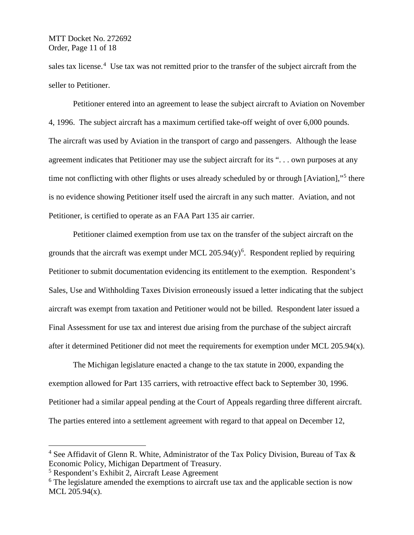sales tax license.<sup>[4](#page-10-0)</sup> Use tax was not remitted prior to the transfer of the subject aircraft from the seller to Petitioner.

Petitioner entered into an agreement to lease the subject aircraft to Aviation on November 4, 1996. The subject aircraft has a maximum certified take-off weight of over 6,000 pounds. The aircraft was used by Aviation in the transport of cargo and passengers. Although the lease agreement indicates that Petitioner may use the subject aircraft for its ". . . own purposes at any time not conflicting with other flights or uses already scheduled by or through [Aviation],"<sup>[5](#page-10-1)</sup> there is no evidence showing Petitioner itself used the aircraft in any such matter. Aviation, and not Petitioner, is certified to operate as an FAA Part 135 air carrier.

Petitioner claimed exemption from use tax on the transfer of the subject aircraft on the grounds that the aircraft was exempt under MCL  $205.94(y)^6$  $205.94(y)^6$ . Respondent replied by requiring Petitioner to submit documentation evidencing its entitlement to the exemption. Respondent's Sales, Use and Withholding Taxes Division erroneously issued a letter indicating that the subject aircraft was exempt from taxation and Petitioner would not be billed. Respondent later issued a Final Assessment for use tax and interest due arising from the purchase of the subject aircraft after it determined Petitioner did not meet the requirements for exemption under MCL  $205.94(x)$ .

The Michigan legislature enacted a change to the tax statute in 2000, expanding the exemption allowed for Part 135 carriers, with retroactive effect back to September 30, 1996. Petitioner had a similar appeal pending at the Court of Appeals regarding three different aircraft. The parties entered into a settlement agreement with regard to that appeal on December 12,

<span id="page-10-0"></span><sup>&</sup>lt;sup>4</sup> See Affidavit of Glenn R. White, Administrator of the Tax Policy Division, Bureau of Tax  $\&$ Economic Policy, Michigan Department of Treasury.

<span id="page-10-1"></span><sup>5</sup> Respondent's Exhibit 2, Aircraft Lease Agreement

<span id="page-10-2"></span> $6$  The legislature amended the exemptions to aircraft use tax and the applicable section is now MCL 205.94(x).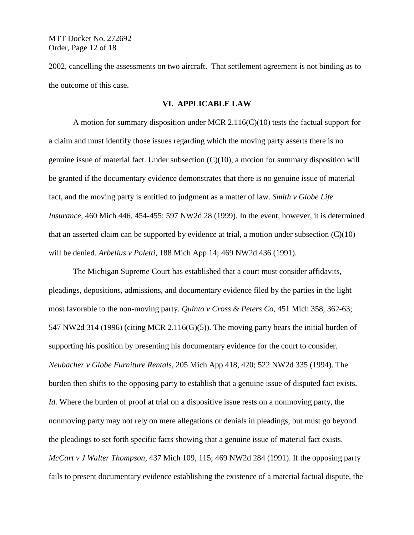MTT Docket No. 272692 Order, Page 12 of 18

2002, cancelling the assessments on two aircraft. That settlement agreement is not binding as to the outcome of this case.

### **VI. APPLICABLE LAW**

A motion for summary disposition under MCR 2.116(C)(10) tests the factual support for a claim and must identify those issues regarding which the moving party asserts there is no genuine issue of material fact. Under subsection (C)(10), a motion for summary disposition will be granted if the documentary evidence demonstrates that there is no genuine issue of material fact, and the moving party is entitled to judgment as a matter of law. *Smith v Globe Life Insurance*, 460 Mich 446, 454-455; 597 NW2d 28 (1999). In the event, however, it is determined that an asserted claim can be supported by evidence at trial, a motion under subsection  $(C)(10)$ will be denied. *Arbelius v Poletti*, 188 Mich App 14; 469 NW2d 436 (1991).

The Michigan Supreme Court has established that a court must consider affidavits, pleadings, depositions, admissions, and documentary evidence filed by the parties in the light most favorable to the non-moving party. *Quinto v Cross & Peters Co*, 451 Mich 358, 362-63; 547 NW2d 314 (1996) (citing MCR 2.116(G)(5)). The moving party bears the initial burden of supporting his position by presenting his documentary evidence for the court to consider. *Neubacher v Globe Furniture Rentals*, 205 Mich App 418, 420; 522 NW2d 335 (1994). The burden then shifts to the opposing party to establish that a genuine issue of disputed fact exists. *Id*. Where the burden of proof at trial on a dispositive issue rests on a nonmoving party, the nonmoving party may not rely on mere allegations or denials in pleadings, but must go beyond the pleadings to set forth specific facts showing that a genuine issue of material fact exists. *McCart v J Walter Thompson*, 437 Mich 109, 115; 469 NW2d 284 (1991). If the opposing party fails to present documentary evidence establishing the existence of a material factual dispute, the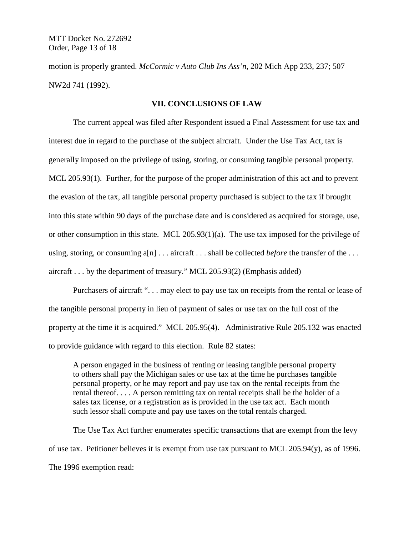MTT Docket No. 272692 Order, Page 13 of 18

motion is properly granted. *McCormic v Auto Club Ins Ass'n*, 202 Mich App 233, 237; 507 NW2d 741 (1992).

### **VII. CONCLUSIONS OF LAW**

The current appeal was filed after Respondent issued a Final Assessment for use tax and interest due in regard to the purchase of the subject aircraft. Under the Use Tax Act, tax is generally imposed on the privilege of using, storing, or consuming tangible personal property. MCL 205.93(1). Further, for the purpose of the proper administration of this act and to prevent the evasion of the tax, all tangible personal property purchased is subject to the tax if brought into this state within 90 days of the purchase date and is considered as acquired for storage, use, or other consumption in this state. MCL 205.93(1)(a). The use tax imposed for the privilege of using, storing, or consuming a[n] . . . aircraft . . . shall be collected *before* the transfer of the . . . aircraft . . . by the department of treasury." MCL 205.93(2) (Emphasis added)

Purchasers of aircraft "... may elect to pay use tax on receipts from the rental or lease of the tangible personal property in lieu of payment of sales or use tax on the full cost of the property at the time it is acquired." MCL 205.95(4). Administrative Rule 205.132 was enacted to provide guidance with regard to this election. Rule 82 states:

A person engaged in the business of renting or leasing tangible personal property to others shall pay the Michigan sales or use tax at the time he purchases tangible personal property, or he may report and pay use tax on the rental receipts from the rental thereof. . . . A person remitting tax on rental receipts shall be the holder of a sales tax license, or a registration as is provided in the use tax act. Each month such lessor shall compute and pay use taxes on the total rentals charged.

The Use Tax Act further enumerates specific transactions that are exempt from the levy of use tax. Petitioner believes it is exempt from use tax pursuant to MCL 205.94(y), as of 1996. The 1996 exemption read: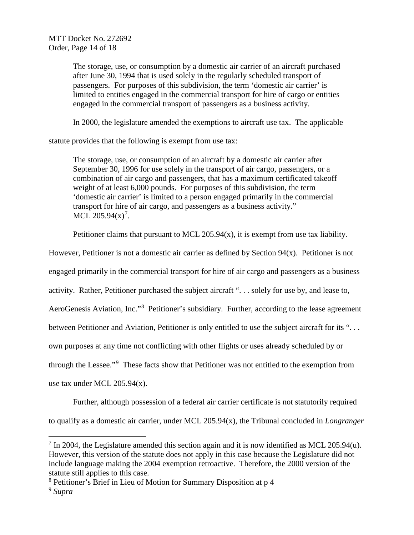The storage, use, or consumption by a domestic air carrier of an aircraft purchased after June 30, 1994 that is used solely in the regularly scheduled transport of passengers. For purposes of this subdivision, the term 'domestic air carrier' is limited to entities engaged in the commercial transport for hire of cargo or entities engaged in the commercial transport of passengers as a business activity.

In 2000, the legislature amended the exemptions to aircraft use tax. The applicable

statute provides that the following is exempt from use tax:

The storage, use, or consumption of an aircraft by a domestic air carrier after September 30, 1996 for use solely in the transport of air cargo, passengers, or a combination of air cargo and passengers, that has a maximum certificated takeoff weight of at least 6,000 pounds. For purposes of this subdivision, the term 'domestic air carrier' is limited to a person engaged primarily in the commercial transport for hire of air cargo, and passengers as a business activity." MCL  $205.94(x)^7$  $205.94(x)^7$ .

Petitioner claims that pursuant to MCL  $205.94(x)$ , it is exempt from use tax liability.

However, Petitioner is not a domestic air carrier as defined by Section 94(x). Petitioner is not

engaged primarily in the commercial transport for hire of air cargo and passengers as a business

activity. Rather, Petitioner purchased the subject aircraft ". . . solely for use by, and lease to,

AeroGenesis Aviation, Inc."[8](#page-13-1) Petitioner's subsidiary. Further, according to the lease agreement

between Petitioner and Aviation, Petitioner is only entitled to use the subject aircraft for its "...

own purposes at any time not conflicting with other flights or uses already scheduled by or

through the Lessee."<sup>[9](#page-13-2)</sup> These facts show that Petitioner was not entitled to the exemption from

use tax under MCL 205.94(x).

Further, although possession of a federal air carrier certificate is not statutorily required

to qualify as a domestic air carrier, under MCL 205.94(x), the Tribunal concluded in *Longranger* 

<span id="page-13-0"></span> $7 \text{ In } 2004$ , the Legislature amended this section again and it is now identified as MCL 205.94(u). However, this version of the statute does not apply in this case because the Legislature did not include language making the 2004 exemption retroactive. Therefore, the 2000 version of the statute still applies to this case.

<span id="page-13-1"></span><sup>8</sup> Petitioner's Brief in Lieu of Motion for Summary Disposition at p 4

<span id="page-13-2"></span><sup>9</sup> *Supra*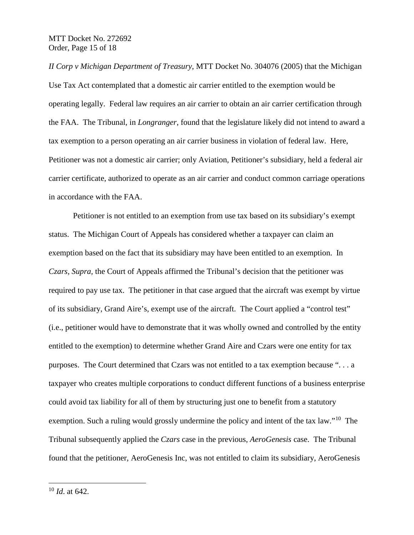*II Corp v Michigan Department of Treasury*, MTT Docket No. 304076 (2005) that the Michigan Use Tax Act contemplated that a domestic air carrier entitled to the exemption would be operating legally. Federal law requires an air carrier to obtain an air carrier certification through the FAA. The Tribunal, in *Longranger*, found that the legislature likely did not intend to award a tax exemption to a person operating an air carrier business in violation of federal law. Here, Petitioner was not a domestic air carrier; only Aviation, Petitioner's subsidiary, held a federal air carrier certificate, authorized to operate as an air carrier and conduct common carriage operations in accordance with the FAA.

Petitioner is not entitled to an exemption from use tax based on its subsidiary's exempt status. The Michigan Court of Appeals has considered whether a taxpayer can claim an exemption based on the fact that its subsidiary may have been entitled to an exemption. In *Czars, Supra,* the Court of Appeals affirmed the Tribunal's decision that the petitioner was required to pay use tax. The petitioner in that case argued that the aircraft was exempt by virtue of its subsidiary, Grand Aire's, exempt use of the aircraft. The Court applied a "control test" (i.e., petitioner would have to demonstrate that it was wholly owned and controlled by the entity entitled to the exemption) to determine whether Grand Aire and Czars were one entity for tax purposes. The Court determined that Czars was not entitled to a tax exemption because ". . . a taxpayer who creates multiple corporations to conduct different functions of a business enterprise could avoid tax liability for all of them by structuring just one to benefit from a statutory exemption. Such a ruling would grossly undermine the policy and intent of the tax law."<sup>[10](#page-14-0)</sup> The Tribunal subsequently applied the *Czars* case in the previous, *AeroGenesis* case. The Tribunal found that the petitioner, AeroGenesis Inc, was not entitled to claim its subsidiary, AeroGenesis

<span id="page-14-0"></span> <sup>10</sup> *Id*. at 642.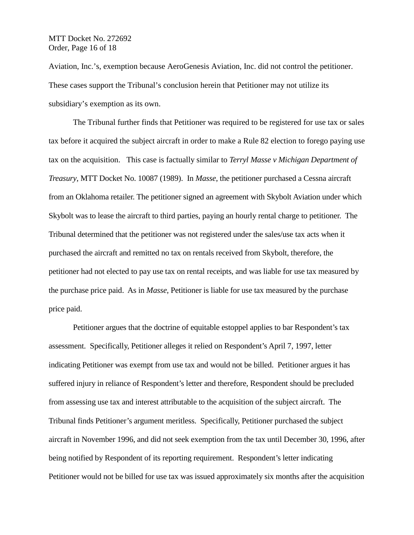MTT Docket No. 272692 Order, Page 16 of 18

Aviation, Inc.'s, exemption because AeroGenesis Aviation, Inc. did not control the petitioner. These cases support the Tribunal's conclusion herein that Petitioner may not utilize its subsidiary's exemption as its own.

The Tribunal further finds that Petitioner was required to be registered for use tax or sales tax before it acquired the subject aircraft in order to make a Rule 82 election to forego paying use tax on the acquisition. This case is factually similar to *Terryl Masse v Michigan Department of Treasury*, MTT Docket No. 10087 (1989). In *Masse*, the petitioner purchased a Cessna aircraft from an Oklahoma retailer. The petitioner signed an agreement with Skybolt Aviation under which Skybolt was to lease the aircraft to third parties, paying an hourly rental charge to petitioner. The Tribunal determined that the petitioner was not registered under the sales/use tax acts when it purchased the aircraft and remitted no tax on rentals received from Skybolt, therefore, the petitioner had not elected to pay use tax on rental receipts, and was liable for use tax measured by the purchase price paid. As in *Masse*, Petitioner is liable for use tax measured by the purchase price paid.

Petitioner argues that the doctrine of equitable estoppel applies to bar Respondent's tax assessment. Specifically, Petitioner alleges it relied on Respondent's April 7, 1997, letter indicating Petitioner was exempt from use tax and would not be billed. Petitioner argues it has suffered injury in reliance of Respondent's letter and therefore, Respondent should be precluded from assessing use tax and interest attributable to the acquisition of the subject aircraft. The Tribunal finds Petitioner's argument meritless. Specifically, Petitioner purchased the subject aircraft in November 1996, and did not seek exemption from the tax until December 30, 1996, after being notified by Respondent of its reporting requirement. Respondent's letter indicating Petitioner would not be billed for use tax was issued approximately six months after the acquisition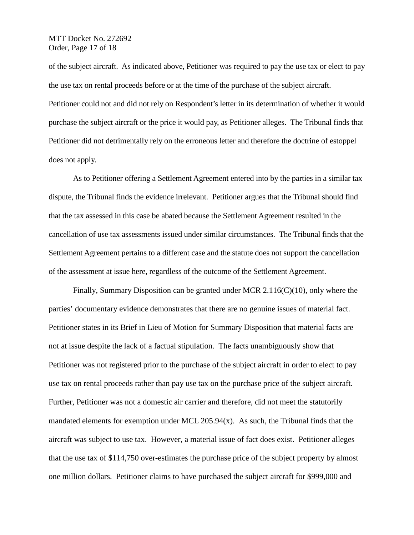## MTT Docket No. 272692 Order, Page 17 of 18

of the subject aircraft. As indicated above, Petitioner was required to pay the use tax or elect to pay the use tax on rental proceeds before or at the time of the purchase of the subject aircraft. Petitioner could not and did not rely on Respondent's letter in its determination of whether it would purchase the subject aircraft or the price it would pay, as Petitioner alleges. The Tribunal finds that Petitioner did not detrimentally rely on the erroneous letter and therefore the doctrine of estoppel does not apply.

As to Petitioner offering a Settlement Agreement entered into by the parties in a similar tax dispute, the Tribunal finds the evidence irrelevant. Petitioner argues that the Tribunal should find that the tax assessed in this case be abated because the Settlement Agreement resulted in the cancellation of use tax assessments issued under similar circumstances. The Tribunal finds that the Settlement Agreement pertains to a different case and the statute does not support the cancellation of the assessment at issue here, regardless of the outcome of the Settlement Agreement.

Finally, Summary Disposition can be granted under MCR 2.116(C)(10), only where the parties' documentary evidence demonstrates that there are no genuine issues of material fact. Petitioner states in its Brief in Lieu of Motion for Summary Disposition that material facts are not at issue despite the lack of a factual stipulation. The facts unambiguously show that Petitioner was not registered prior to the purchase of the subject aircraft in order to elect to pay use tax on rental proceeds rather than pay use tax on the purchase price of the subject aircraft. Further, Petitioner was not a domestic air carrier and therefore, did not meet the statutorily mandated elements for exemption under MCL 205.94(x). As such, the Tribunal finds that the aircraft was subject to use tax. However, a material issue of fact does exist. Petitioner alleges that the use tax of \$114,750 over-estimates the purchase price of the subject property by almost one million dollars. Petitioner claims to have purchased the subject aircraft for \$999,000 and